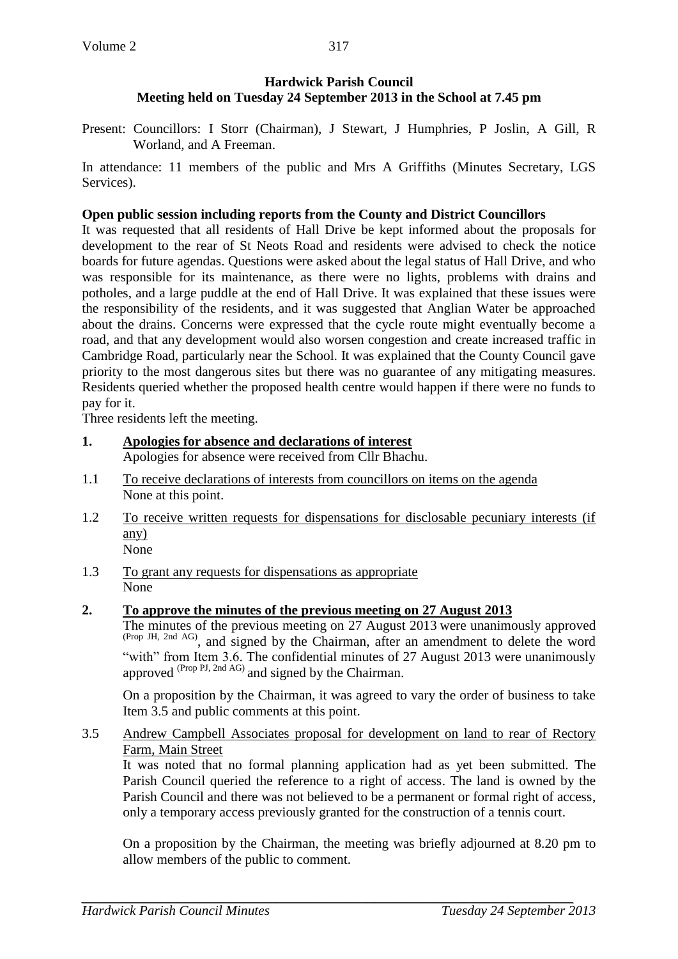### **Hardwick Parish Council Meeting held on Tuesday 24 September 2013 in the School at 7.45 pm**

Present: Councillors: I Storr (Chairman), J Stewart, J Humphries, P Joslin, A Gill, R Worland, and A Freeman.

In attendance: 11 members of the public and Mrs A Griffiths (Minutes Secretary, LGS Services).

### **Open public session including reports from the County and District Councillors**

It was requested that all residents of Hall Drive be kept informed about the proposals for development to the rear of St Neots Road and residents were advised to check the notice boards for future agendas. Questions were asked about the legal status of Hall Drive, and who was responsible for its maintenance, as there were no lights, problems with drains and potholes, and a large puddle at the end of Hall Drive. It was explained that these issues were the responsibility of the residents, and it was suggested that Anglian Water be approached about the drains. Concerns were expressed that the cycle route might eventually become a road, and that any development would also worsen congestion and create increased traffic in Cambridge Road, particularly near the School. It was explained that the County Council gave priority to the most dangerous sites but there was no guarantee of any mitigating measures. Residents queried whether the proposed health centre would happen if there were no funds to pay for it.

Three residents left the meeting.

**1. Apologies for absence and declarations of interest**

Apologies for absence were received from Cllr Bhachu.

- 1.1 To receive declarations of interests from councillors on items on the agenda None at this point.
- 1.2 To receive written requests for dispensations for disclosable pecuniary interests (if any) None
- 1.3 To grant any requests for dispensations as appropriate None

# **2. To approve the minutes of the previous meeting on 27 August 2013**

The minutes of the previous meeting on 27 August 2013 were unanimously approved (Prop JH, 2nd AG) , and signed by the Chairman, after an amendment to delete the word "with" from Item 3.6. The confidential minutes of 27 August 2013 were unanimously approved <sup>(Prop PJ, 2nd AG)</sup> and signed by the Chairman.

On a proposition by the Chairman, it was agreed to vary the order of business to take Item 3.5 and public comments at this point.

#### 3.5 Andrew Campbell Associates proposal for development on land to rear of Rectory Farm, Main Street

It was noted that no formal planning application had as yet been submitted. The Parish Council queried the reference to a right of access. The land is owned by the Parish Council and there was not believed to be a permanent or formal right of access, only a temporary access previously granted for the construction of a tennis court.

On a proposition by the Chairman, the meeting was briefly adjourned at 8.20 pm to allow members of the public to comment.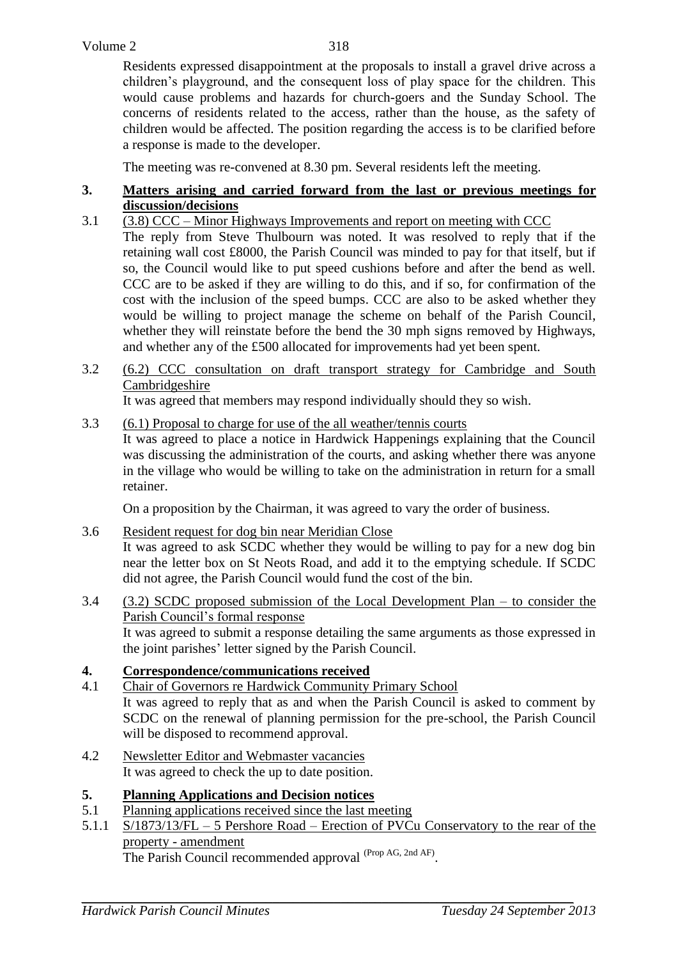Residents expressed disappointment at the proposals to install a gravel drive across a children's playground, and the consequent loss of play space for the children. This would cause problems and hazards for church-goers and the Sunday School. The concerns of residents related to the access, rather than the house, as the safety of children would be affected. The position regarding the access is to be clarified before a response is made to the developer.

The meeting was re-convened at 8.30 pm. Several residents left the meeting.

#### **3. Matters arising and carried forward from the last or previous meetings for discussion/decisions**

- 3.1 (3.8) CCC Minor Highways Improvements and report on meeting with CCC The reply from Steve Thulbourn was noted. It was resolved to reply that if the retaining wall cost £8000, the Parish Council was minded to pay for that itself, but if so, the Council would like to put speed cushions before and after the bend as well. CCC are to be asked if they are willing to do this, and if so, for confirmation of the cost with the inclusion of the speed bumps. CCC are also to be asked whether they would be willing to project manage the scheme on behalf of the Parish Council, whether they will reinstate before the bend the 30 mph signs removed by Highways, and whether any of the £500 allocated for improvements had yet been spent.
- 3.2 (6.2) CCC consultation on draft transport strategy for Cambridge and South Cambridgeshire

It was agreed that members may respond individually should they so wish.

3.3 (6.1) Proposal to charge for use of the all weather/tennis courts

It was agreed to place a notice in Hardwick Happenings explaining that the Council was discussing the administration of the courts, and asking whether there was anyone in the village who would be willing to take on the administration in return for a small retainer.

On a proposition by the Chairman, it was agreed to vary the order of business.

- 3.6 Resident request for dog bin near Meridian Close It was agreed to ask SCDC whether they would be willing to pay for a new dog bin near the letter box on St Neots Road, and add it to the emptying schedule. If SCDC did not agree, the Parish Council would fund the cost of the bin.
- 3.4 (3.2) SCDC proposed submission of the Local Development Plan to consider the Parish Council's formal response It was agreed to submit a response detailing the same arguments as those expressed in the joint parishes' letter signed by the Parish Council.

# **4. Correspondence/communications received**

- 4.1 Chair of Governors re Hardwick Community Primary School It was agreed to reply that as and when the Parish Council is asked to comment by SCDC on the renewal of planning permission for the pre-school, the Parish Council will be disposed to recommend approval.
- 4.2 Newsletter Editor and Webmaster vacancies It was agreed to check the up to date position.

# **5. Planning Applications and Decision notices**

- 5.1 Planning applications received since the last meeting
- 5.1.1 S/1873/13/FL 5 Pershore Road Erection of PVCu Conservatory to the rear of the property - amendment The Parish Council recommended approval <sup>(Prop AG, 2nd AF)</sup>.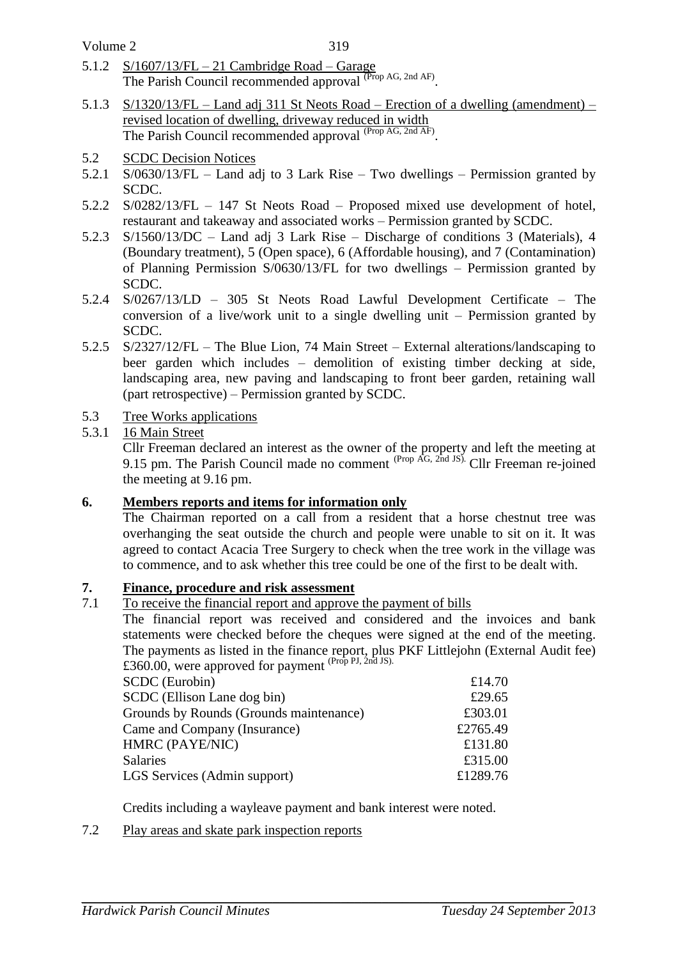Volume 2

- 5.1.2 S/1607/13/FL 21 Cambridge Road Garage The Parish Council recommended approval <sup>(Prop AG, 2nd AF)</sup>.
- 5.1.3 S/1320/13/FL Land adj 311 St Neots Road Erection of a dwelling (amendment) revised location of dwelling, driveway reduced in width The Parish Council recommended approval <sup>(Prop AG, 2nd AF)</sup>.
- 5.2 SCDC Decision Notices
- 5.2.1 S/0630/13/FL Land adj to 3 Lark Rise Two dwellings Permission granted by SCDC.
- 5.2.2 S/0282/13/FL 147 St Neots Road Proposed mixed use development of hotel, restaurant and takeaway and associated works – Permission granted by SCDC.
- 5.2.3 S/1560/13/DC Land adj 3 Lark Rise Discharge of conditions 3 (Materials), 4 (Boundary treatment), 5 (Open space), 6 (Affordable housing), and 7 (Contamination) of Planning Permission S/0630/13/FL for two dwellings – Permission granted by SCDC.
- 5.2.4 S/0267/13/LD 305 St Neots Road Lawful Development Certificate The conversion of a live/work unit to a single dwelling unit – Permission granted by SCDC.
- 5.2.5 S/2327/12/FL The Blue Lion, 74 Main Street External alterations/landscaping to beer garden which includes – demolition of existing timber decking at side, landscaping area, new paving and landscaping to front beer garden, retaining wall (part retrospective) – Permission granted by SCDC.
- 5.3 Tree Works applications
- 5.3.1 16 Main Street

Cllr Freeman declared an interest as the owner of the property and left the meeting at 9.15 pm. The Parish Council made no comment  $^{(Prop \,\hat{AG},\,\hat{2nd}\,JS)}$ . Cllr Freeman re-joined the meeting at 9.16 pm.

# **6. Members reports and items for information only**

The Chairman reported on a call from a resident that a horse chestnut tree was overhanging the seat outside the church and people were unable to sit on it. It was agreed to contact Acacia Tree Surgery to check when the tree work in the village was to commence, and to ask whether this tree could be one of the first to be dealt with.

# **7. Finance, procedure and risk assessment**

7.1 To receive the financial report and approve the payment of bills

The financial report was received and considered and the invoices and bank statements were checked before the cheques were signed at the end of the meeting. The payments as listed in the finance report, plus PKF Littlejohn (External Audit fee)  $£360.00$ , were approved for payment  $(Prop\,PI, 2nd\,JS).$ 

| <b>SCDC</b> (Eurobin)                   | £14.70   |
|-----------------------------------------|----------|
| SCDC (Ellison Lane dog bin)             | £29.65   |
| Grounds by Rounds (Grounds maintenance) | £303.01  |
| Came and Company (Insurance)            | £2765.49 |
| HMRC (PAYE/NIC)                         | £131.80  |
| Salaries                                | £315.00  |
| LGS Services (Admin support)            | £1289.76 |
|                                         |          |

Credits including a wayleave payment and bank interest were noted.

7.2 Play areas and skate park inspection reports